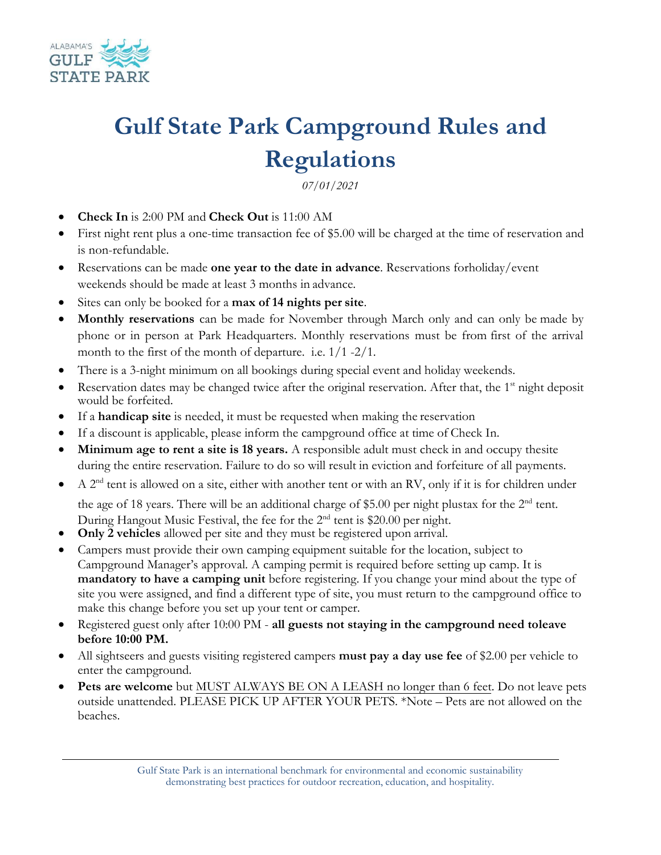

## **Gulf State Park Campground Rules and Regulations**

*07/01/2021* 

- **Check In** is 2:00 PM and **Check Out** is 11:00 AM
- First night rent plus a one-time transaction fee of \$5.00 will be charged at the time of reservation and is non-refundable.
- Reservations can be made **one year to the date in advance**. Reservations for holiday/event weekends should be made at least 3 months in advance.
- Sites can only be booked for a **max of 14 nights per site**.
- **Monthly reservations** can be made for November through March only and can only be made by phone or in person at Park Headquarters. Monthly reservations must be from first of the arrival month to the first of the month of departure. i.e. 1/1 -2/1.
- There is a 3-night minimum on all bookings during special event and holiday weekends.
- Reservation dates may be changed twice after the original reservation. After that, the  $1<sup>st</sup>$  night deposit would be forfeited.
- If a **handicap site** is needed, it must be requested when making the reservation
- If a discount is applicable, please inform the campground office at time of Check In.
- Minimum age to rent a site is 18 years. A responsible adult must check in and occupy the site during the entire reservation. Failure to do so will result in eviction and forfeiture of all payments.
- A  $2<sup>nd</sup>$  tent is allowed on a site, either with another tent or with an RV, only if it is for children under the age of 18 years. There will be an additional charge of \$5.00 per night plustax for the 2<sup>nd</sup> tent.
- During Hangout Music Festival, the fee for the 2<sup>nd</sup> tent is \$20.00 per night.
- **Only 2 vehicles** allowed per site and they must be registered upon arrival.
- Campers must provide their own camping equipment suitable for the location, subject to Campground Manager's approval. A camping permit is required before setting up camp. It is **mandatory to have a camping unit** before registering. If you change your mind about the type of site you were assigned, and find a different type of site, you must return to the campground office to make this change before you set up your tent or camper.
- Registered guest only after 10:00 PM all guests not staying in the campground need to leave **before 10:00 PM.**
- All sightseers and guests visiting registered campers **must pay a day use fee** of \$2.00 per vehicle to enter the campground.
- Pets are welcome but MUST ALWAYS BE ON A LEASH no longer than 6 feet. Do not leave pets outside unattended. PLEASE PICK UP AFTER YOUR PETS. \*Note – Pets are not allowed on the beaches.

Gulf State Park is an international benchmark for environmental and economic sustainability demonstrating best practices for outdoor recreation, education, and hospitality.